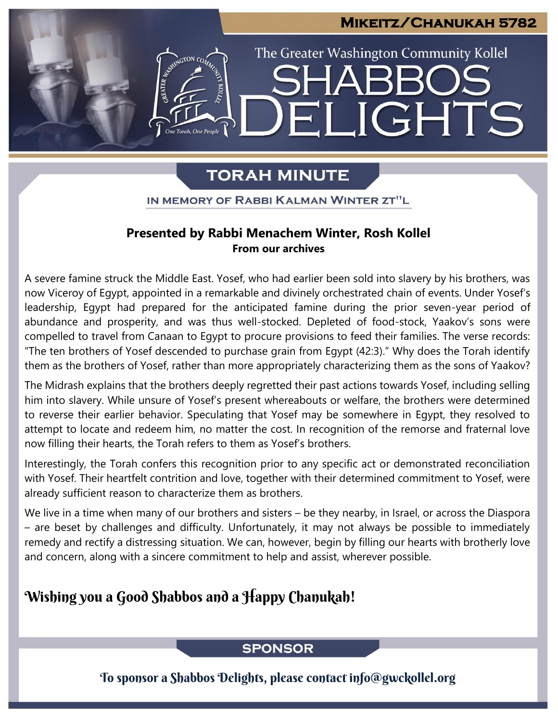# **Mikeitz/Chanukah 5782**  The Greater Washington Community Kollel LIGHTS EI

## **TORAH MINUTE**

IN MEMORY OF RABBI KALMAN WINTER ZT"L

#### **Presented by Rabbi Menachem Winter, Rosh Kollel From our archives**

A severe famine struck the Middle East. Yosef, who had earlier been sold into slavery by his brothers, was now Viceroy of Egypt, appointed in a remarkable and divinely orchestrated chain of events. Under Yosef's leadership, Egypt had prepared for the anticipated famine during the prior seven-year period of abundance and prosperity, and was thus well-stocked. Depleted of food-stock, Yaakov's sons were compelled to travel from Canaan to Egypt to procure provisions to feed their families. The verse records: "The ten brothers of Yosef descended to purchase grain from Egypt (42:3)." Why does the Torah identify them as the brothers of Yosef, rather than more appropriately characterizing them as the sons of Yaakov?

The Midrash explains that the brothers deeply regretted their past actions towards Yosef, including selling him into slavery. While unsure of Yosef's present whereabouts or welfare, the brothers were determined to reverse their earlier behavior. Speculating that Yosef may be somewhere in Egypt, they resolved to attempt to locate and redeem him, no matter the cost. In recognition of the remorse and fraternal love now filling their hearts, the Torah refers to them as Yosef's brothers.

Interestingly, the Torah confers this recognition prior to any specific act or demonstrated reconciliation with Yosef. Their heartfelt contrition and love, together with their determined commitment to Yosef, were already sufficient reason to characterize them as brothers.

We live in a time when many of our brothers and sisters – be they nearby, in Israel, or across the Diaspora – are beset by challenges and difficulty. Unfortunately, it may not always be possible to immediately remedy and rectify a distressing situation. We can, however, begin by filling our hearts with brotherly love and concern, along with a sincere commitment to help and assist, wherever possible.

## Wishing you a Good Shabbos and a Happy Chanukah!

### **SPONSOR**

To sponsor a Shabbos Delights, please contact info@gwckollel.org